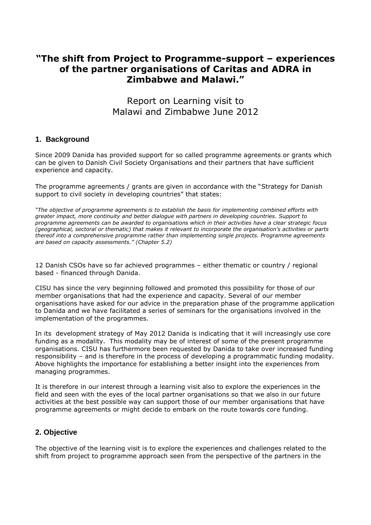# **"The shift from Project to Programme-support – experiences of the partner organisations of Caritas and ADRA in Zimbabwe and Malawi."**

Report on Learning visit to Malawi and Zimbabwe June 2012

## **1. Background**

Since 2009 Danida has provided support for so called programme agreements or grants which can be given to Danish Civil Society Organisations and their partners that have sufficient experience and capacity.

The programme agreements / grants are given in accordance with the "Strategy for Danish support to civil society in developing countries" that states:

*"The objective of programme agreements is to establish the basis for implementing combined efforts with greater impact, more continuity and better dialogue with partners in developing countries. Support to programme agreements can be awarded to organisations which in their activities have a clear strategic focus (geographical, sectoral or thematic) that makes it relevant to incorporate the organisation's activities or parts thereof into a comprehensive programme rather than implementing single projects. Programme agreements are based on capacity assessments." (Chapter 5.2)*

12 Danish CSOs have so far achieved programmes – either thematic or country / regional based - financed through Danida.

CISU has since the very beginning followed and promoted this possibility for those of our member organisations that had the experience and capacity. Several of our member organisations have asked for our advice in the preparation phase of the programme application to Danida and we have facilitated a series of seminars for the organisations involved in the implementation of the programmes.

In its development strategy of May 2012 Danida is indicating that it will increasingly use core funding as a modality. This modality may be of interest of some of the present programme organisations. CISU has furthermore been requested by Danida to take over increased funding responsibility – and is therefore in the process of developing a programmatic funding modality. Above highlights the importance for establishing a better insight into the experiences from managing programmes.

It is therefore in our interest through a learning visit also to explore the experiences in the field and seen with the eyes of the local partner organisations so that we also in our future activities at the best possible way can support those of our member organisations that have programme agreements or might decide to embark on the route towards core funding.

## **2. Objective**

The objective of the learning visit is to explore the experiences and challenges related to the shift from project to programme approach seen from the perspective of the partners in the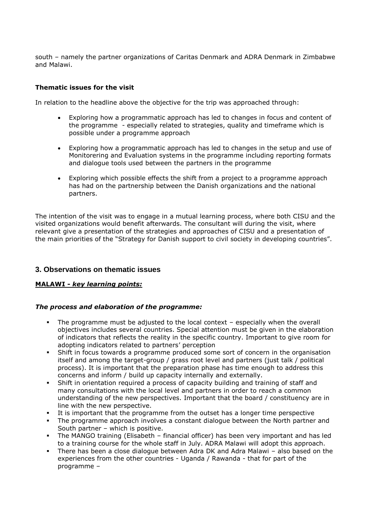south – namely the partner organizations of Caritas Denmark and ADRA Denmark in Zimbabwe and Malawi.

### **Thematic issues for the visit**

In relation to the headline above the objective for the trip was approached through:

- Exploring how a programmatic approach has led to changes in focus and content of the programme - especially related to strategies, quality and timeframe which is possible under a programme approach
- Exploring how a programmatic approach has led to changes in the setup and use of Monitorering and Evaluation systems in the programme including reporting formats and dialogue tools used between the partners in the programme
- Exploring which possible effects the shift from a project to a programme approach has had on the partnership between the Danish organizations and the national partners.

The intention of the visit was to engage in a mutual learning process, where both CISU and the visited organizations would benefit afterwards. The consultant will during the visit, where relevant give a presentation of the strategies and approaches of CISU and a presentation of the main priorities of the "Strategy for Danish support to civil society in developing countries".

## **3. Observations on thematic issues**

## **MALAWI -** *key learning points:*

#### *The process and elaboration of the programme:*

- The programme must be adjusted to the local context especially when the overall objectives includes several countries. Special attention must be given in the elaboration of indicators that reflects the reality in the specific country. Important to give room for adopting indicators related to partners' perception
- Shift in focus towards a programme produced some sort of concern in the organisation itself and among the target-group / grass root level and partners (just talk / political process). It is important that the preparation phase has time enough to address this concerns and inform / build up capacity internally and externally.
- Shift in orientation required a process of capacity building and training of staff and many consultations with the local level and partners in order to reach a common understanding of the new perspectives. Important that the board / constituency are in line with the new perspective.
- It is important that the programme from the outset has a longer time perspective
- The programme approach involves a constant dialogue between the North partner and South partner – which is positive.
- The MANGO training (Elisabeth financial officer) has been very important and has led to a training course for the whole staff in July. ADRA Malawi will adopt this approach.
- There has been a close dialogue between Adra DK and Adra Malawi also based on the experiences from the other countries - Uganda / Rawanda - that for part of the programme –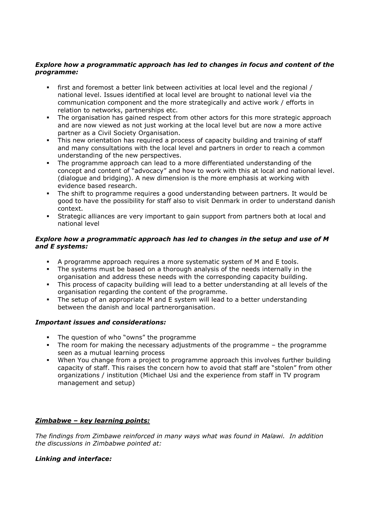### *Explore how a programmatic approach has led to changes in focus and content of the programme:*

- first and foremost a better link between activities at local level and the regional / national level. Issues identified at local level are brought to national level via the communication component and the more strategically and active work / efforts in relation to networks, partnerships etc.
- The organisation has gained respect from other actors for this more strategic approach and are now viewed as not just working at the local level but are now a more active partner as a Civil Society Organisation.
- This new orientation has required a process of capacity building and training of staff and many consultations with the local level and partners in order to reach a common understanding of the new perspectives.
- The programme approach can lead to a more differentiated understanding of the concept and content of "advocacy" and how to work with this at local and national level. (dialogue and bridging). A new dimension is the more emphasis at working with evidence based research.
- The shift to programme requires a good understanding between partners. It would be good to have the possibility for staff also to visit Denmark in order to understand danish context.
- Strategic alliances are very important to gain support from partners both at local and national level

### *Explore how a programmatic approach has led to changes in the setup and use of M and E systems:*

- A programme approach requires a more systematic system of M and E tools.
- The systems must be based on a thorough analysis of the needs internally in the organisation and address these needs with the corresponding capacity building.
- This process of capacity building will lead to a better understanding at all levels of the organisation regarding the content of the programme.
- The setup of an appropriate M and E system will lead to a better understanding between the danish and local partnerorganisation.

## *Important issues and considerations:*

- The question of who "owns" the programme
- The room for making the necessary adjustments of the programme the programme seen as a mutual learning process
- When You change from a project to programme approach this involves further building capacity of staff. This raises the concern how to avoid that staff are "stolen" from other organizations / institution (Michael Usi and the experience from staff in TV program management and setup)

## *Zimbabwe – key learning points:*

*The findings from Zimbawe reinforced in many ways what was found in Malawi. In addition the discussions in Zimbabwe pointed at:* 

## *Linking and interface:*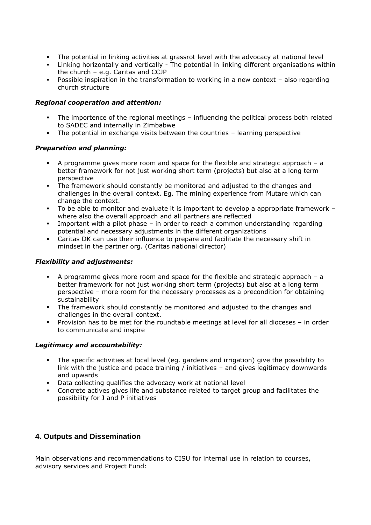- The potential in linking activities at grassrot level with the advocacy at national level
- Linking horizontally and vertically The potential in linking different organisations within the church – e.g. Caritas and CCJP
- Possible inspiration in the transformation to working in a new context also regarding church structure

### *Regional cooperation and attention:*

- The importence of the regional meetings influencing the political process both related to SADEC and internally in Zimbabwe
- The potential in exchange visits between the countries learning perspective

### *Preparation and planning:*

- A programme gives more room and space for the flexible and strategic approach a better framework for not just working short term (projects) but also at a long term perspective
- The framework should constantly be monitored and adjusted to the changes and challenges in the overall context. Eg. The mining experience from Mutare which can change the context.
- To be able to monitor and evaluate it is important to develop a appropriate framework where also the overall approach and all partners are reflected
- Important with a pilot phase in order to reach a common understanding regarding potential and necessary adjustments in the different organizations
- Caritas DK can use their influence to prepare and facilitate the necessary shift in mindset in the partner org. (Caritas national director)

### *Flexibility and adjustments:*

- A programme gives more room and space for the flexible and strategic approach  $-$  a better framework for not just working short term (projects) but also at a long term perspective – more room for the necessary processes as a precondition for obtaining sustainability
- The framework should constantly be monitored and adjusted to the changes and challenges in the overall context.
- Provision has to be met for the roundtable meetings at level for all dioceses in order to communicate and inspire

## *Legitimacy and accountability:*

- The specific activities at local level (eg. gardens and irrigation) give the possibility to link with the justice and peace training / initiatives – and gives legitimacy downwards and upwards
- Data collecting qualifies the advocacy work at national level
- Concrete actives gives life and substance related to target group and facilitates the possibility for J and P initiatives

## **4. Outputs and Dissemination**

Main observations and recommendations to CISU for internal use in relation to courses, advisory services and Project Fund: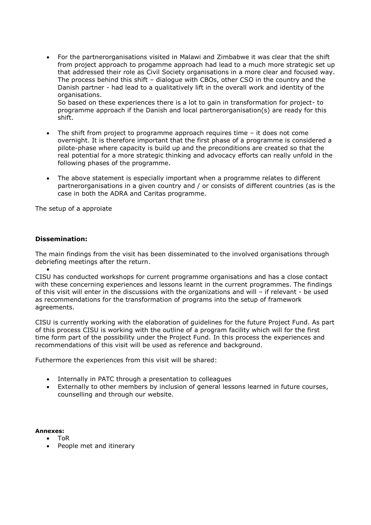For the partnerorganisations visited in Malawi and Zimbabwe it was clear that the shift from project approach to progamme approach had lead to a much more strategic set up that addressed their role as Civil Society organisations in a more clear and focused way. The process behind this shift – dialogue with CBOs, other CSO in the country and the Danish partner - had lead to a qualitatively lift in the overall work and identity of the organisations.

So based on these experiences there is a lot to gain in transformation for project- to programme approach if the Danish and local partnerorganisation(s) are ready for this shift.

- The shift from project to programme approach requires time it does not come overnight. It is therefore important that the first phase of a programme is considered a pilote-phase where capacity is build up and the preconditions are created so that the real potential for a more strategic thinking and advocacy efforts can really unfold in the following phases of the programme.
- The above statement is especially important when a programme relates to different partnerorganisations in a given country and / or consists of different countries (as is the case in both the ADRA and Caritas programme.

The setup of a approiate

### **Dissemination:**

The main findings from the visit has been disseminated to the involved organisations through debriefing meetings after the return.

 $\bullet$ CISU has conducted workshops for current programme organisations and has a close contact with these concerning experiences and lessons learnt in the current programmes. The findings of this visit will enter in the discussions with the organizations and will – if relevant - be used as recommendations for the transformation of programs into the setup of framework agreements.

CISU is currently working with the elaboration of guidelines for the future Project Fund. As part of this process CISU is working with the outline of a program facility which will for the first time form part of the possibility under the Project Fund. In this process the experiences and recommendations of this visit will be used as reference and background.

Futhermore the experiences from this visit will be shared:

- Internally in PATC through a presentation to colleagues
- Externally to other members by inclusion of general lessons learned in future courses, counselling and through our website.

**Annexes:**

- ToR
- People met and itinerary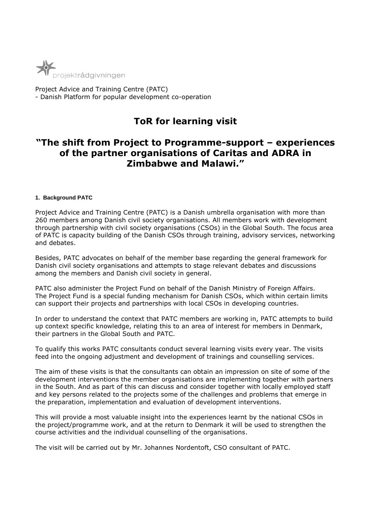

Project Advice and Training Centre (PATC) - Danish Platform for popular development co-operation

# **ToR for learning visit**

# **"The shift from Project to Programme-support – experiences of the partner organisations of Caritas and ADRA in Zimbabwe and Malawi."**

#### **1. Background PATC**

Project Advice and Training Centre (PATC) is a Danish umbrella organisation with more than 260 members among Danish civil society organisations. All members work with development through partnership with civil society organisations (CSOs) in the Global South. The focus area of PATC is capacity building of the Danish CSOs through training, advisory services, networking and debates.

Besides, PATC advocates on behalf of the member base regarding the general framework for Danish civil society organisations and attempts to stage relevant debates and discussions among the members and Danish civil society in general.

PATC also administer the Project Fund on behalf of the Danish Ministry of Foreign Affairs. The Project Fund is a special funding mechanism for Danish CSOs, which within certain limits can support their projects and partnerships with local CSOs in developing countries.

In order to understand the context that PATC members are working in, PATC attempts to build up context specific knowledge, relating this to an area of interest for members in Denmark, their partners in the Global South and PATC.

To qualify this works PATC consultants conduct several learning visits every year. The visits feed into the ongoing adjustment and development of trainings and counselling services.

The aim of these visits is that the consultants can obtain an impression on site of some of the development interventions the member organisations are implementing together with partners in the South. And as part of this can discuss and consider together with locally employed staff and key persons related to the projects some of the challenges and problems that emerge in the preparation, implementation and evaluation of development interventions.

This will provide a most valuable insight into the experiences learnt by the national CSOs in the project/programme work, and at the return to Denmark it will be used to strengthen the course activities and the individual counselling of the organisations.

The visit will be carried out by Mr. Johannes Nordentoft, CSO consultant of PATC.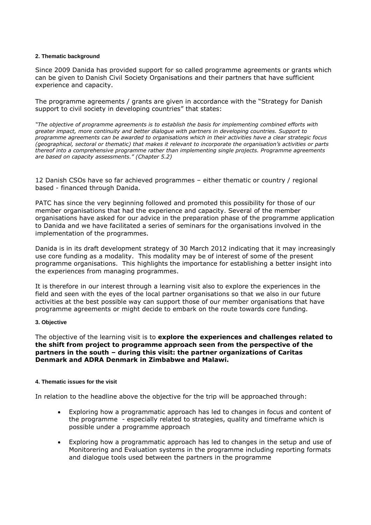#### **2. Thematic background**

Since 2009 Danida has provided support for so called programme agreements or grants which can be given to Danish Civil Society Organisations and their partners that have sufficient experience and capacity.

The programme agreements / grants are given in accordance with the "Strategy for Danish support to civil society in developing countries" that states:

*"The objective of programme agreements is to establish the basis for implementing combined efforts with greater impact, more continuity and better dialogue with partners in developing countries. Support to programme agreements can be awarded to organisations which in their activities have a clear strategic focus (geographical, sectoral or thematic) that makes it relevant to incorporate the organisation's activities or parts thereof into a comprehensive programme rather than implementing single projects. Programme agreements are based on capacity assessments." (Chapter 5.2)*

12 Danish CSOs have so far achieved programmes – either thematic or country / regional based - financed through Danida.

PATC has since the very beginning followed and promoted this possibility for those of our member organisations that had the experience and capacity. Several of the member organisations have asked for our advice in the preparation phase of the programme application to Danida and we have facilitated a series of seminars for the organisations involved in the implementation of the programmes.

Danida is in its draft development strategy of 30 March 2012 indicating that it may increasingly use core funding as a modality. This modality may be of interest of some of the present programme organisations. This highlights the importance for establishing a better insight into the experiences from managing programmes.

It is therefore in our interest through a learning visit also to explore the experiences in the field and seen with the eyes of the local partner organisations so that we also in our future activities at the best possible way can support those of our member organisations that have programme agreements or might decide to embark on the route towards core funding.

#### **3. Objective**

The objective of the learning visit is to **explore the experiences and challenges related to the shift from project to programme approach seen from the perspective of the partners in the south – during this visit: the partner organizations of Caritas Denmark and ADRA Denmark in Zimbabwe and Malawi.**

#### **4. Thematic issues for the visit**

In relation to the headline above the objective for the trip will be approached through:

- Exploring how a programmatic approach has led to changes in focus and content of the programme - especially related to strategies, quality and timeframe which is possible under a programme approach
- Exploring how a programmatic approach has led to changes in the setup and use of Monitorering and Evaluation systems in the programme including reporting formats and dialogue tools used between the partners in the programme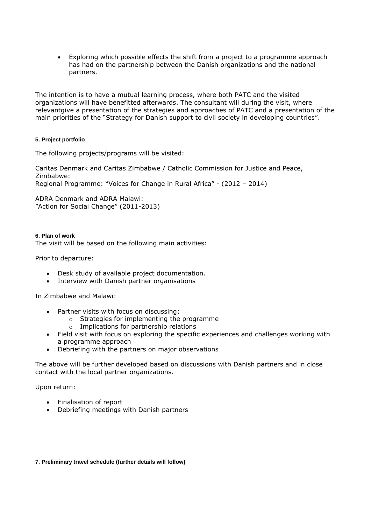Exploring which possible effects the shift from a project to a programme approach has had on the partnership between the Danish organizations and the national partners.

The intention is to have a mutual learning process, where both PATC and the visited organizations will have benefitted afterwards. The consultant will during the visit, where relevantgive a presentation of the strategies and approaches of PATC and a presentation of the main priorities of the "Strategy for Danish support to civil society in developing countries".

#### **5. Project portfolio**

The following projects/programs will be visited:

Caritas Denmark and Caritas Zimbabwe / Catholic Commission for Justice and Peace, Zimbabwe: Regional Programme: "Voices for Change in Rural Africa" - (2012 – 2014)

ADRA Denmark and ADRA Malawi: "Action for Social Change" (2011-2013)

**6. Plan of work** The visit will be based on the following main activities:

Prior to departure:

- Desk study of available project documentation.
- Interview with Danish partner organisations

In Zimbabwe and Malawi:

- Partner visits with focus on discussing:
	- o Strategies for implementing the programme
	- o Implications for partnership relations
- Field visit with focus on exploring the specific experiences and challenges working with a programme approach
- Debriefing with the partners on major observations

The above will be further developed based on discussions with Danish partners and in close contact with the local partner organizations.

Upon return:

- Finalisation of report
- Debriefing meetings with Danish partners

#### **7. Preliminary travel schedule (further details will follow)**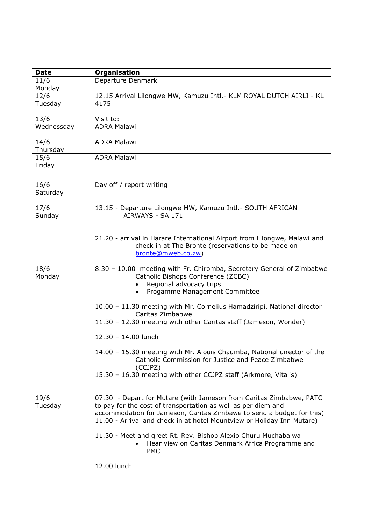| <b>Date</b>        | Organisation                                                                                                                                                                                                                                                                            |
|--------------------|-----------------------------------------------------------------------------------------------------------------------------------------------------------------------------------------------------------------------------------------------------------------------------------------|
| 11/6<br>Monday     | Departure Denmark                                                                                                                                                                                                                                                                       |
| 12/6<br>Tuesday    | 12.15 Arrival Lilongwe MW, Kamuzu Intl. - KLM ROYAL DUTCH AIRLI - KL<br>4175                                                                                                                                                                                                            |
| 13/6<br>Wednessday | Visit to:<br><b>ADRA Malawi</b>                                                                                                                                                                                                                                                         |
| 14/6<br>Thursday   | <b>ADRA Malawi</b>                                                                                                                                                                                                                                                                      |
| 15/6<br>Friday     | <b>ADRA Malawi</b>                                                                                                                                                                                                                                                                      |
| 16/6<br>Saturday   | Day off / report writing                                                                                                                                                                                                                                                                |
| 17/6<br>Sunday     | 13.15 - Departure Lilongwe MW, Kamuzu Intl. - SOUTH AFRICAN<br>AIRWAYS - SA 171                                                                                                                                                                                                         |
|                    | 21.20 - arrival in Harare International Airport from Lilongwe, Malawi and<br>check in at The Bronte (reservations to be made on<br>bronte@mweb.co.zw)                                                                                                                                   |
| 18/6<br>Monday     | 8.30 - 10.00 meeting with Fr. Chiromba, Secretary General of Zimbabwe<br>Catholic Bishops Conference (ZCBC)<br>Regional advocacy trips<br>Progamme Management Committee                                                                                                                 |
|                    | 10.00 - 11.30 meeting with Mr. Cornelius Hamadziripi, National director<br>Caritas Zimbabwe<br>11.30 - 12.30 meeting with other Caritas staff (Jameson, Wonder)                                                                                                                         |
|                    | 12.30 - 14.00 lunch                                                                                                                                                                                                                                                                     |
|                    | 14.00 - 15.30 meeting with Mr. Alouis Chaumba, National director of the<br>Catholic Commission for Justice and Peace Zimbabwe<br>(CCJPZ)                                                                                                                                                |
|                    | 15.30 - 16.30 meeting with other CCJPZ staff (Arkmore, Vitalis)                                                                                                                                                                                                                         |
| 19/6<br>Tuesday    | 07.30 - Depart for Mutare (with Jameson from Caritas Zimbabwe, PATC<br>to pay for the cost of transportation as well as per diem and<br>accommodation for Jameson, Caritas Zimbawe to send a budget for this)<br>11.00 - Arrival and check in at hotel Mountview or Holiday Inn Mutare) |
|                    | 11.30 - Meet and greet Rt. Rev. Bishop Alexio Churu Muchabaiwa<br>Hear view on Caritas Denmark Africa Programme and<br><b>PMC</b>                                                                                                                                                       |
|                    | 12.00 lunch                                                                                                                                                                                                                                                                             |